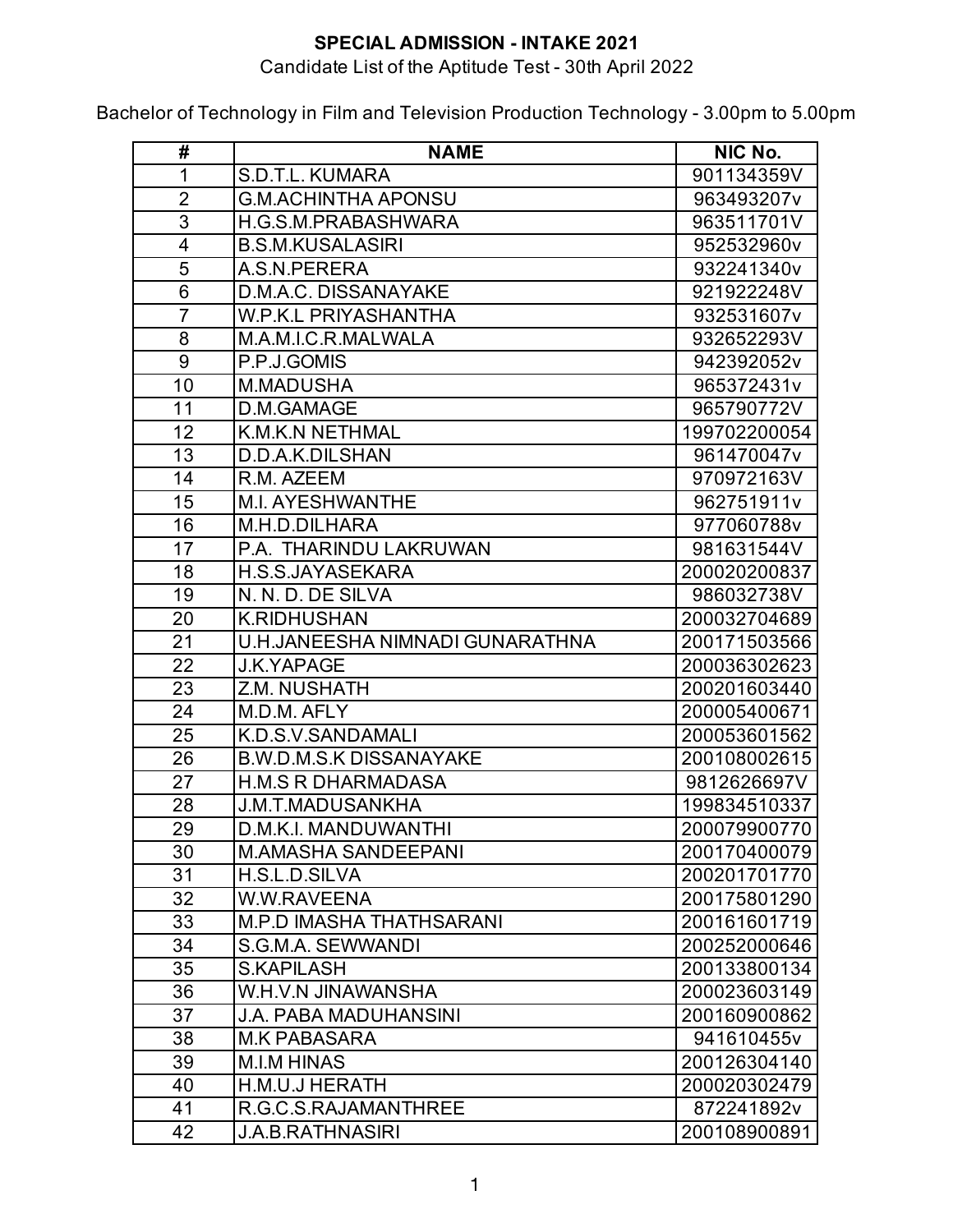### Candidate List of the Aptitude Test - 30th April 2022

| #              | <b>NAME</b>                     | NIC No.      |
|----------------|---------------------------------|--------------|
| 1              | S.D.T.L. KUMARA                 | 901134359V   |
| $\overline{2}$ | <b>G.M.ACHINTHA APONSU</b>      | 963493207v   |
| 3              | H.G.S.M.PRABASHWARA             | 963511701V   |
| $\overline{4}$ | <b>B.S.M.KUSALASIRI</b>         | 952532960v   |
| 5              | A.S.N.PERERA                    | 932241340v   |
| 6              | D.M.A.C. DISSANAYAKE            | 921922248V   |
| $\overline{7}$ | <b>W.P.K.L PRIYASHANTHA</b>     | 932531607v   |
| 8              | M.A.M.I.C.R.MALWALA             | 932652293V   |
| 9              | P.P.J.GOMIS                     | 942392052v   |
| 10             | <b>M.MADUSHA</b>                | 965372431v   |
| 11             | D.M.GAMAGE                      | 965790772V   |
| 12             | <b>K.M.K.N NETHMAL</b>          | 199702200054 |
| 13             | D.D.A.K.DILSHAN                 | 961470047v   |
| 14             | R.M. AZEEM                      | 970972163V   |
| 15             | <b>M.I. AYESHWANTHE</b>         | 962751911v   |
| 16             | M.H.D.DILHARA                   | 977060788v   |
| 17             | P.A. THARINDU LAKRUWAN          | 981631544V   |
| 18             | H.S.S.JAYASEKARA                | 200020200837 |
| 19             | N. N. D. DE SILVA               | 986032738V   |
| 20             | <b>K.RIDHUSHAN</b>              | 200032704689 |
| 21             | U.H.JANEESHA NIMNADI GUNARATHNA | 200171503566 |
| 22             | <b>J.K.YAPAGE</b>               | 200036302623 |
| 23             | Z.M. NUSHATH                    | 200201603440 |
| 24             | M.D.M. AFLY                     | 200005400671 |
| 25             | K.D.S.V.SANDAMALI               | 200053601562 |
| 26             | <b>B.W.D.M.S.K DISSANAYAKE</b>  | 200108002615 |
| 27             | <b>H.M.S R DHARMADASA</b>       | 9812626697V  |
| 28             | <b>J.M.T.MADUSANKHA</b>         | 199834510337 |
| 29             | D.M.K.I. MANDUWANTHI            | 200079900770 |
| 30             | <b>M.AMASHA SANDEEPANI</b>      | 200170400079 |
| 31             | H.S.L.D.SILVA                   | 200201701770 |
| 32             | W.W.RAVEENA                     | 200175801290 |
| 33             | <b>M.P.D IMASHA THATHSARANI</b> | 200161601719 |
| 34             | S.G.M.A. SEWWANDI               | 200252000646 |
| 35             | <b>S.KAPILASH</b>               | 200133800134 |
| 36             | W.H.V.N JINAWANSHA              | 200023603149 |
| 37             | <b>J.A. PABA MADUHANSINI</b>    | 200160900862 |
| 38             | <b>M.K PABASARA</b>             | 941610455v   |
| 39             | <b>M.I.M HINAS</b>              | 200126304140 |
| 40             | H.M.U.J HERATH                  | 200020302479 |
| 41             | R.G.C.S.RAJAMANTHREE            | 872241892v   |
| 42             | <b>J.A.B.RATHNASIRI</b>         | 200108900891 |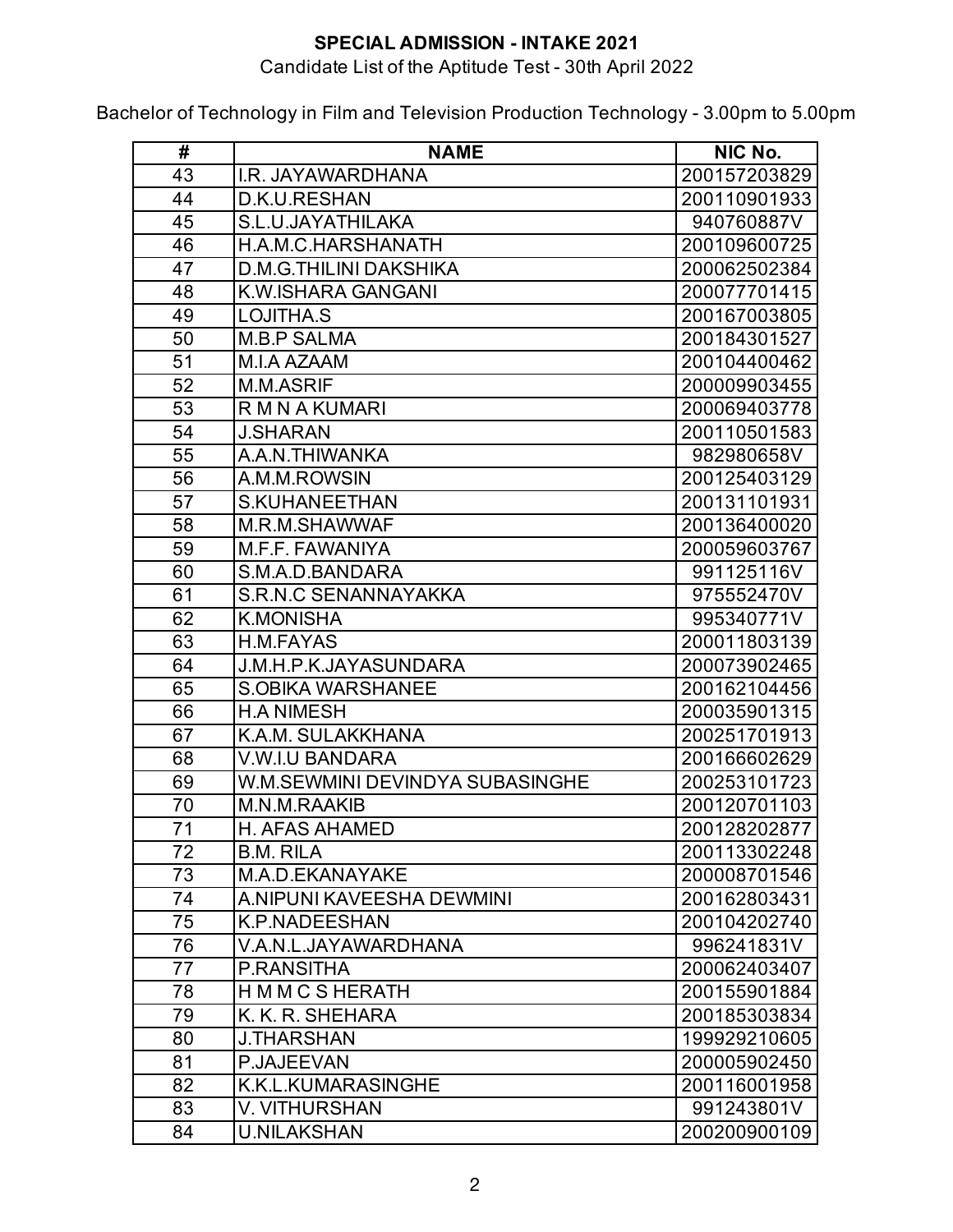### Candidate List of the Aptitude Test - 30th April 2022

| #  | <b>NAME</b>                     | NIC No.      |
|----|---------------------------------|--------------|
| 43 | I.R. JAYAWARDHANA               | 200157203829 |
| 44 | D.K.U.RESHAN                    | 200110901933 |
| 45 | S.L.U.JAYATHILAKA               | 940760887V   |
| 46 | H.A.M.C.HARSHANATH              | 200109600725 |
| 47 | <b>D.M.G.THILINI DAKSHIKA</b>   | 200062502384 |
| 48 | K.W.ISHARA GANGANI              | 200077701415 |
| 49 | LOJITHA.S                       | 200167003805 |
| 50 | <b>M.B.P SALMA</b>              | 200184301527 |
| 51 | M.I.A AZAAM                     | 200104400462 |
| 52 | M.M.ASRIF                       | 200009903455 |
| 53 | R M N A KUMARI                  | 200069403778 |
| 54 | <b>J.SHARAN</b>                 | 200110501583 |
| 55 | A.A.N.THIWANKA                  | 982980658V   |
| 56 | A.M.M.ROWSIN                    | 200125403129 |
| 57 | <b>S.KUHANEETHAN</b>            | 200131101931 |
| 58 | M.R.M.SHAWWAF                   | 200136400020 |
| 59 | M.F.F. FAWANIYA                 | 200059603767 |
| 60 | S.M.A.D.BANDARA                 | 991125116V   |
| 61 | <b>S.R.N.C SENANNAYAKKA</b>     | 975552470V   |
| 62 | <b>K.MONISHA</b>                | 995340771V   |
| 63 | H.M.FAYAS                       | 200011803139 |
| 64 | J.M.H.P.K.JAYASUNDARA           | 200073902465 |
| 65 | <b>S.OBIKA WARSHANEE</b>        | 200162104456 |
| 66 | <b>H.A NIMESH</b>               | 200035901315 |
| 67 | K.A.M. SULAKKHANA               | 200251701913 |
| 68 | V.W.I.U BANDARA                 | 200166602629 |
| 69 | W.M.SEWMINI DEVINDYA SUBASINGHE | 200253101723 |
| 70 | M.N.M.RAAKIB                    | 200120701103 |
| 71 | <b>H. AFAS AHAMED</b>           | 200128202877 |
| 72 | <b>B.M. RILA</b>                | 200113302248 |
| 73 | M.A.D.EKANAYAKE                 | 200008701546 |
| 74 | A.NIPUNI KAVEESHA DEWMINI       | 200162803431 |
| 75 | <b>K.P.NADEESHAN</b>            | 200104202740 |
| 76 | V.A.N.L.JAYAWARDHANA            | 996241831V   |
| 77 | P.RANSITHA                      | 200062403407 |
| 78 | H M M C S HERATH                | 200155901884 |
| 79 | K. K. R. SHEHARA                | 200185303834 |
| 80 | <b>J.THARSHAN</b>               | 199929210605 |
| 81 | P.JAJEEVAN                      | 200005902450 |
| 82 | <b>K.K.L.KUMARASINGHE</b>       | 200116001958 |
| 83 | <b>V. VITHURSHAN</b>            | 991243801V   |
| 84 | <b>U.NILAKSHAN</b>              | 200200900109 |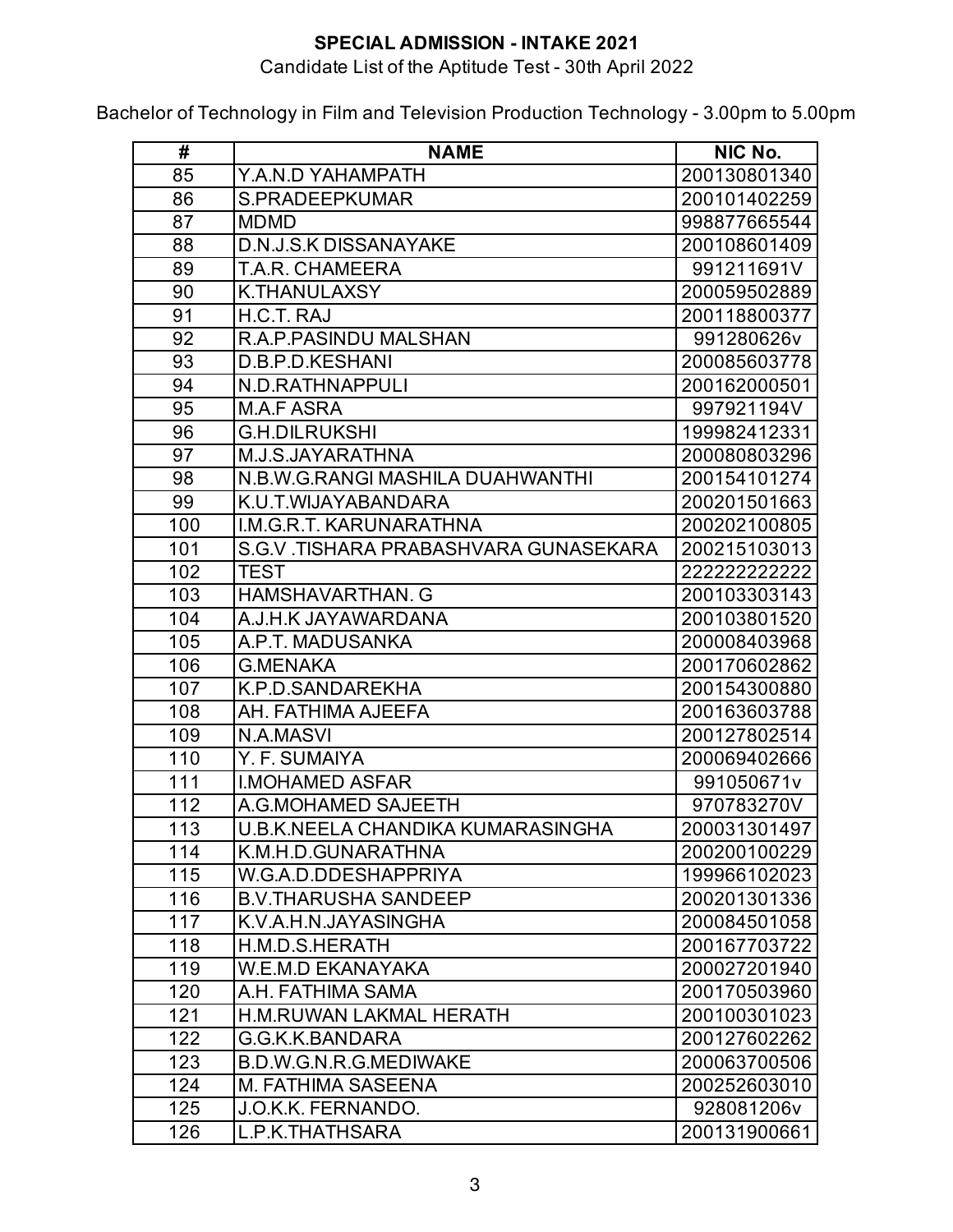### Candidate List of the Aptitude Test - 30th April 2022

| #   | <b>NAME</b>                              | NIC No.      |
|-----|------------------------------------------|--------------|
| 85  | Y.A.N.D YAHAMPATH                        | 200130801340 |
| 86  | S.PRADEEPKUMAR                           | 200101402259 |
| 87  | <b>MDMD</b>                              | 998877665544 |
| 88  | <b>D.N.J.S.K DISSANAYAKE</b>             | 200108601409 |
| 89  | <b>T.A.R. CHAMEERA</b>                   | 991211691V   |
| 90  | <b>K.THANULAXSY</b>                      | 200059502889 |
| 91  | H.C.T. RAJ                               | 200118800377 |
| 92  | R.A.P.PASINDU MALSHAN                    | 991280626v   |
| 93  | D.B.P.D.KESHANI                          | 200085603778 |
| 94  | N.D.RATHNAPPULI                          | 200162000501 |
| 95  | <b>M.A.F ASRA</b>                        | 997921194V   |
| 96  | <b>G.H.DILRUKSHI</b>                     | 199982412331 |
| 97  | M.J.S.JAYARATHNA                         | 200080803296 |
| 98  | N.B.W.G.RANGI MASHILA DUAHWANTHI         | 200154101274 |
| 99  | K.U.T.WIJAYABANDARA                      | 200201501663 |
| 100 | I.M.G.R.T. KARUNARATHNA                  | 200202100805 |
| 101 | S.G.V. TISHARA PRABASHVARA GUNASEKARA    | 200215103013 |
| 102 | <b>TEST</b>                              | 222222222222 |
| 103 | <b>HAMSHAVARTHAN, G</b>                  | 200103303143 |
| 104 | A.J.H.K JAYAWARDANA                      | 200103801520 |
| 105 | A.P.T. MADUSANKA                         | 200008403968 |
| 106 | <b>G.MENAKA</b>                          | 200170602862 |
| 107 | K.P.D.SANDAREKHA                         | 200154300880 |
| 108 | AH. FATHIMA AJEEFA                       | 200163603788 |
| 109 | <b>N.A.MASVI</b>                         | 200127802514 |
| 110 | Y. F. SUMAIYA                            | 200069402666 |
| 111 | <b>I.MOHAMED ASFAR</b>                   | 991050671v   |
| 112 | A.G.MOHAMED SAJEETH                      | 970783270V   |
| 113 | <b>U.B.K.NEELA CHANDIKA KUMARASINGHA</b> | 200031301497 |
| 114 | K.M.H.D.GUNARATHNA                       | 200200100229 |
| 115 | W.G.A.D.DDESHAPPRIYA                     | 199966102023 |
| 116 | <b>B.V.THARUSHA SANDEEP</b>              | 200201301336 |
| 117 | K.V.A.H.N.JAYASINGHA                     | 200084501058 |
| 118 | H.M.D.S.HERATH                           | 200167703722 |
| 119 | <b>W.E.M.D EKANAYAKA</b>                 | 200027201940 |
| 120 | A.H. FATHIMA SAMA                        | 200170503960 |
| 121 | <b>H.M.RUWAN LAKMAL HERATH</b>           | 200100301023 |
| 122 | G.G.K.K.BANDARA                          | 200127602262 |
| 123 | <b>B.D.W.G.N.R.G.MEDIWAKE</b>            | 200063700506 |
| 124 | <b>M. FATHIMA SASEENA</b>                | 200252603010 |
| 125 | J.O.K.K. FERNANDO.                       | 928081206v   |
| 126 | L.P.K.THATHSARA                          | 200131900661 |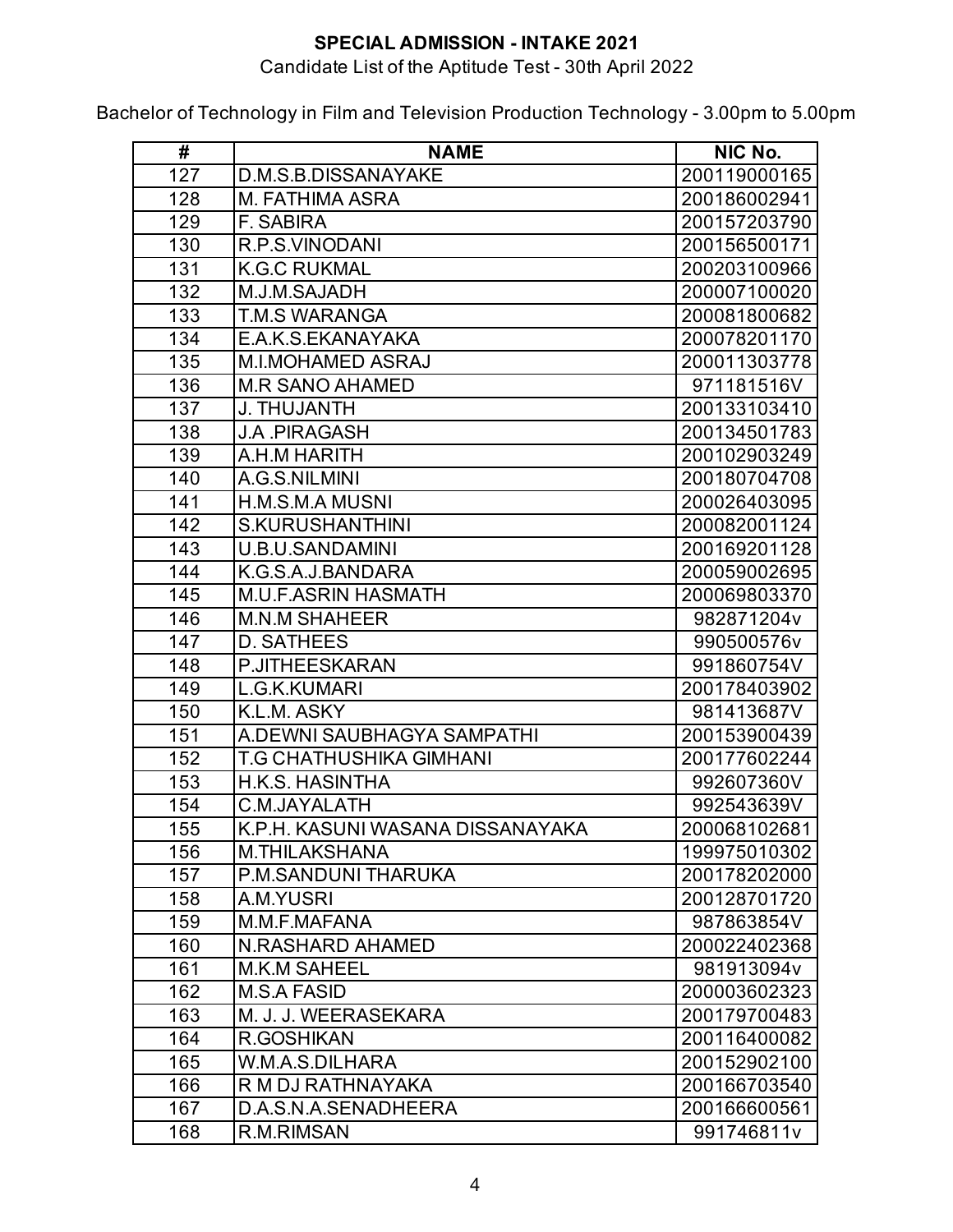### Candidate List of the Aptitude Test - 30th April 2022

| #   | <b>NAME</b>                      | NIC No.      |
|-----|----------------------------------|--------------|
| 127 | D.M.S.B.DISSANAYAKE              | 200119000165 |
| 128 | M. FATHIMA ASRA                  | 200186002941 |
| 129 | <b>F. SABIRA</b>                 | 200157203790 |
| 130 | R.P.S.VINODANI                   | 200156500171 |
| 131 | <b>K.G.C RUKMAL</b>              | 200203100966 |
| 132 | M.J.M.SAJADH                     | 200007100020 |
| 133 | T.M.S WARANGA                    | 200081800682 |
| 134 | E.A.K.S.EKANAYAKA                | 200078201170 |
| 135 | <b>M.I.MOHAMED ASRAJ</b>         | 200011303778 |
| 136 | <b>M.R SANO AHAMED</b>           | 971181516V   |
| 137 | <b>J. THUJANTH</b>               | 200133103410 |
| 138 | J.A .PIRAGASH                    | 200134501783 |
| 139 | A.H.M HARITH                     | 200102903249 |
| 140 | A.G.S.NILMINI                    | 200180704708 |
| 141 | <b>H.M.S.M.A MUSNI</b>           | 200026403095 |
| 142 | <b>S.KURUSHANTHINI</b>           | 200082001124 |
| 143 | <b>U.B.U.SANDAMINI</b>           | 200169201128 |
| 144 | K.G.S.A.J.BANDARA                | 200059002695 |
| 145 | <b>M.U.F.ASRIN HASMATH</b>       | 200069803370 |
| 146 | M.N.M SHAHEER                    | 982871204v   |
| 147 | <b>D. SATHEES</b>                | 990500576v   |
| 148 | <b>P.JITHEESKARAN</b>            | 991860754V   |
| 149 | L.G.K.KUMARI                     | 200178403902 |
| 150 | K.L.M. ASKY                      | 981413687V   |
| 151 | A.DEWNI SAUBHAGYA SAMPATHI       | 200153900439 |
| 152 | T.G CHATHUSHIKA GIMHANI          | 200177602244 |
| 153 | <b>H.K.S. HASINTHA</b>           | 992607360V   |
| 154 | C.M.JAYALATH                     | 992543639V   |
| 155 | K.P.H. KASUNI WASANA DISSANAYAKA | 200068102681 |
| 156 | <b>M.THILAKSHANA</b>             | 199975010302 |
| 157 | P.M.SANDUNI THARUKA              | 200178202000 |
| 158 | A.M.YUSRI                        | 200128701720 |
| 159 | M.M.F.MAFANA                     | 987863854V   |
| 160 | <b>N.RASHARD AHAMED</b>          | 200022402368 |
| 161 | <b>M.K.M SAHEEL</b>              | 981913094v   |
| 162 | <b>M.S.A FASID</b>               | 200003602323 |
| 163 | M. J. J. WEERASEKARA             | 200179700483 |
| 164 | R.GOSHIKAN                       | 200116400082 |
| 165 | W.M.A.S.DILHARA                  | 200152902100 |
| 166 | R M DJ RATHNAYAKA                | 200166703540 |
| 167 | D.A.S.N.A.SENADHEERA             | 200166600561 |
| 168 | R.M.RIMSAN                       | 991746811v   |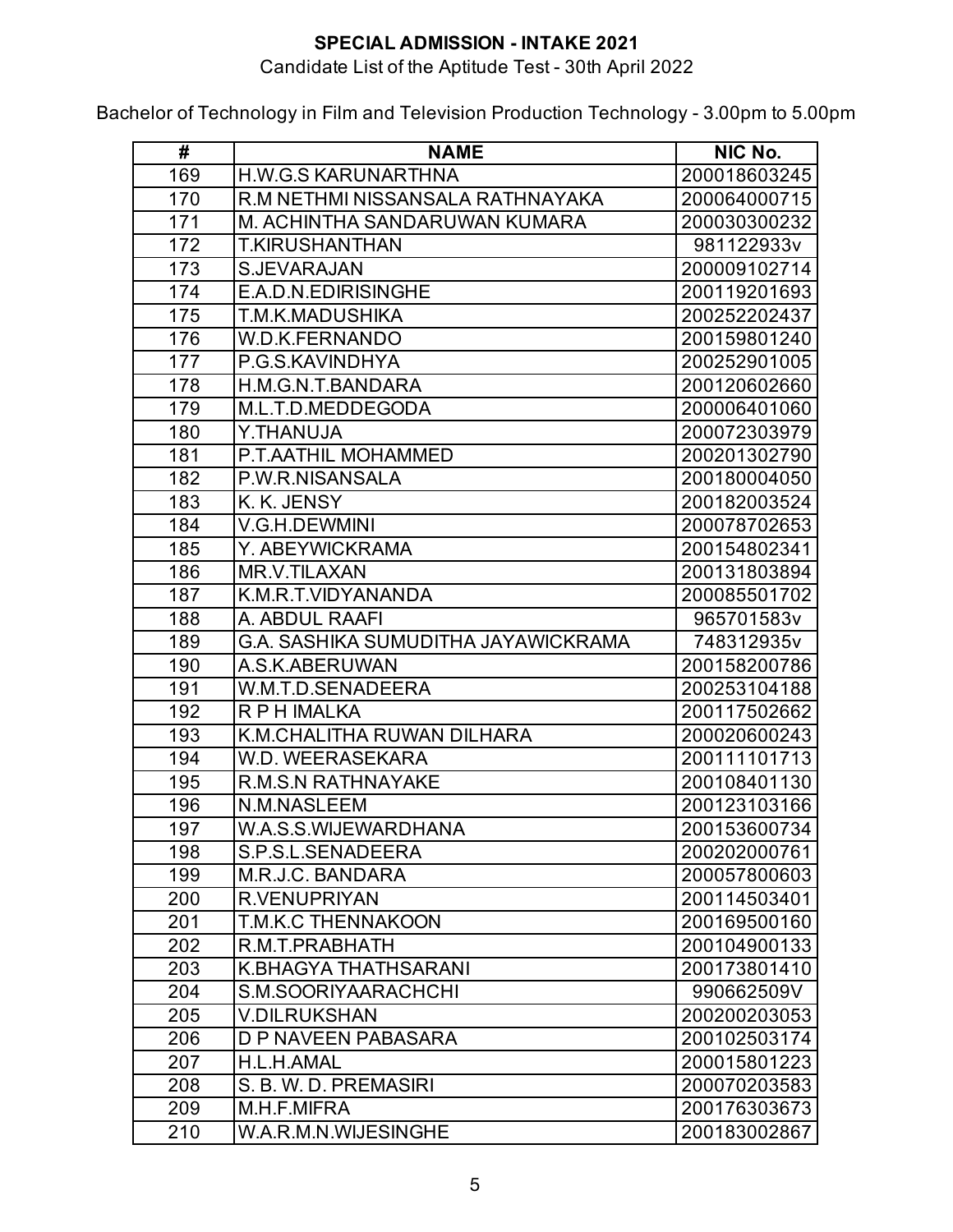### Candidate List of the Aptitude Test - 30th April 2022

| #   | <b>NAME</b>                                | NIC No.      |
|-----|--------------------------------------------|--------------|
| 169 | <b>H.W.G.S KARUNARTHNA</b>                 | 200018603245 |
| 170 | R.M NETHMI NISSANSALA RATHNAYAKA           | 200064000715 |
| 171 | M. ACHINTHA SANDARUWAN KUMARA              | 200030300232 |
| 172 | <b>T.KIRUSHANTHAN</b>                      | 981122933v   |
| 173 | <b>S.JEVARAJAN</b>                         | 200009102714 |
| 174 | E.A.D.N.EDIRISINGHE                        | 200119201693 |
| 175 | T.M.K.MADUSHIKA                            | 200252202437 |
| 176 | <b>W.D.K.FERNANDO</b>                      | 200159801240 |
| 177 | P.G.S.KAVINDHYA                            | 200252901005 |
| 178 | H.M.G.N.T.BANDARA                          | 200120602660 |
| 179 | M.L.T.D.MEDDEGODA                          | 200006401060 |
| 180 | Y.THANUJA                                  | 200072303979 |
| 181 | P.T.AATHIL MOHAMMED                        | 200201302790 |
| 182 | P.W.R.NISANSALA                            | 200180004050 |
| 183 | K. K. JENSY                                | 200182003524 |
| 184 | V.G.H.DEWMINI                              | 200078702653 |
| 185 | Y. ABEYWICKRAMA                            | 200154802341 |
| 186 | <b>MR.V.TILAXAN</b>                        | 200131803894 |
| 187 | K.M.R.T.VIDYANANDA                         | 200085501702 |
| 188 | A. ABDUL RAAFI                             | 965701583v   |
| 189 | <b>G.A. SASHIKA SUMUDITHA JAYAWICKRAMA</b> | 748312935v   |
| 190 | A.S.K.ABERUWAN                             | 200158200786 |
| 191 | W.M.T.D.SENADEERA                          | 200253104188 |
| 192 | R P H IMALKA                               | 200117502662 |
| 193 | K.M.CHALITHA RUWAN DILHARA                 | 200020600243 |
| 194 | W.D. WEERASEKARA                           | 200111101713 |
| 195 | <b>R.M.S.N RATHNAYAKE</b>                  | 200108401130 |
| 196 | <b>N.M.NASLEEM</b>                         | 200123103166 |
| 197 | W.A.S.S.WIJEWARDHANA                       | 200153600734 |
| 198 | S.P.S.L.SENADEERA                          | 200202000761 |
| 199 | M.R.J.C. BANDARA                           | 200057800603 |
| 200 | <b>R.VENUPRIYAN</b>                        | 200114503401 |
| 201 | <b>T.M.K.C THENNAKOON</b>                  | 200169500160 |
| 202 | R.M.T.PRABHATH                             | 200104900133 |
| 203 | <b>K.BHAGYA THATHSARANI</b>                | 200173801410 |
| 204 | S.M.SOORIYAARACHCHI                        | 990662509V   |
| 205 | <b>V.DILRUKSHAN</b>                        | 200200203053 |
| 206 | D P NAVEEN PABASARA                        | 200102503174 |
| 207 | H.L.H.AMAL                                 | 200015801223 |
| 208 | S. B. W. D. PREMASIRI                      | 200070203583 |
| 209 | M.H.F.MIFRA                                | 200176303673 |
| 210 | W.A.R.M.N.WIJESINGHE                       | 200183002867 |